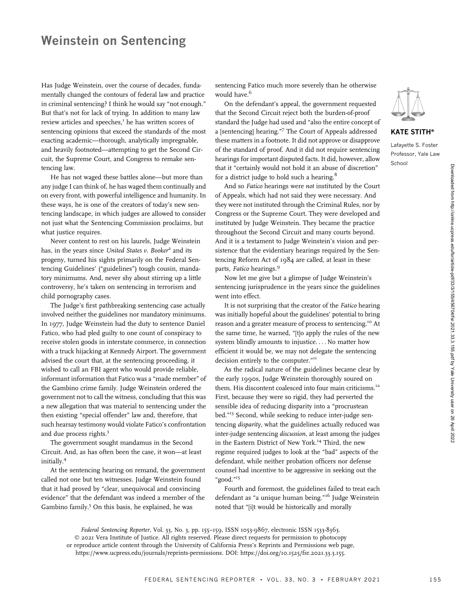## Weinstein on Sentencing

Has Judge Weinstein, over the course of decades, fundamentally changed the contours of federal law and practice in criminal sentencing? I think he would say "not enough." But that's not for lack of trying. In addition to many law review articles and speeches,<sup>1</sup> he has written scores of sentencing opinions that exceed the standards of the most exacting academic—thorough, analytically impregnable, and heavily footnoted—attempting to get the Second Circuit, the Supreme Court, and Congress to remake sentencing law.

He has not waged these battles alone—but more than any judge I can think of, he has waged them continually and on every front, with powerful intelligence and humanity. In these ways, he is one of the creators of today's new sentencing landscape, in which judges are allowed to consider not just what the Sentencing Commission proclaims, but what justice requires.

Never content to rest on his laurels, Judge Weinstein has, in the years since United States  $\nu$ . Booker<sup>2</sup> and its progeny, turned his sights primarily on the Federal Sentencing Guidelines' ("guidelines") tough cousin, mandatory minimums. And, never shy about stirring up a little controversy, he's taken on sentencing in terrorism and child pornography cases.

The Judge's first pathbreaking sentencing case actually involved neither the guidelines nor mandatory minimums. In 1977, Judge Weinstein had the duty to sentence Daniel Fatico, who had pled guilty to one count of conspiracy to receive stolen goods in interstate commerce, in connection with a truck hijacking at Kennedy Airport. The government advised the court that, at the sentencing proceeding, it wished to call an FBI agent who would provide reliable, informant information that Fatico was a "made member" of the Gambino crime family. Judge Weinstein ordered the government not to call the witness, concluding that this was a new allegation that was material to sentencing under the then existing "special offender" law and, therefore, that such hearsay testimony would violate Fatico's confrontation and due process rights.<sup>3</sup>

The government sought mandamus in the Second Circuit. And, as has often been the case, it won—at least initially.<sup>4</sup>

At the sentencing hearing on remand, the government called not one but ten witnesses. Judge Weinstein found that it had proved by "clear, unequivocal and convincing evidence" that the defendant was indeed a member of the Gambino family. $5$  On this basis, he explained, he was

sentencing Fatico much more severely than he otherwise would have.<sup>6</sup>

On the defendant's appeal, the government requested that the Second Circuit reject both the burden-of-proof standard the Judge had used and "also the entire concept of a [sentencing] hearing."<sup>7</sup> The Court of Appeals addressed these matters in a footnote. It did not approve or disapprove of the standard of proof. And it did not require sentencing hearings for important disputed facts. It did, however, allow that it "certainly would not hold it an abuse of discretion" for a district judge to hold such a hearing.<sup>8</sup>

And so Fatico hearings were not instituted by the Court of Appeals, which had not said they were necessary. And they were not instituted through the Criminal Rules, nor by Congress or the Supreme Court. They were developed and instituted by Judge Weinstein. They became the practice throughout the Second Circuit and many courts beyond. And it is a testament to Judge Weinstein's vision and persistence that the evidentiary hearings required by the Sentencing Reform Act of 1984 are called, at least in these parts, Fatico hearings.<sup>9</sup>

Now let me give but a glimpse of Judge Weinstein's sentencing jurisprudence in the years since the guidelines went into effect.

It is not surprising that the creator of the Fatico hearing was initially hopeful about the guidelines' potential to bring reason and a greater measure of process to sentencing.<sup>10</sup> At the same time, he warned, "[t]o apply the rules of the new system blindly amounts to injustice. ... No matter how efficient it would be, we may not delegate the sentencing decision entirely to the computer."<sup>11</sup>

As the radical nature of the guidelines became clear by the early 1990s, Judge Weinstein thoroughly soured on them. His discontent coalesced into four main criticisms.<sup>12</sup> First, because they were so rigid, they had perverted the sensible idea of reducing disparity into a "procrustean bed."<sup>13</sup> Second, while seeking to reduce inter-judge sentencing disparity, what the guidelines actually reduced was inter-judge sentencing discussion, at least among the judges in the Eastern District of New York.<sup>14</sup> Third, the new regime required judges to look at the "bad" aspects of the defendant, while neither probation officers nor defense counsel had incentive to be aggressive in seeking out the "good."15

Fourth and foremost, the guidelines failed to treat each defendant as "a unique human being."<sup>16</sup> Judge Weinstein noted that "[i]t would be historically and morally

Federal Sentencing Reporter, Vol. 33, No. 3, pp. 155–159, ISSN 1053-9867, electronic ISSN 1533-8363. © 2021 Vera Institute of Justice. All rights reserved. Please direct requests for permission to photocopy or reproduce article content through the University of California Press's Reprints and Permissions web page,

https://www.ucpress.edu/journals/reprints-permissions. [DOI: https://doi.org/10.1525/fsr.2021.33.3.155.](https://doi.org/10.1525/fsr.2021.33.3.155.)



## KATE STITH\*

Lafayette S. Foster Professor, Yale Law School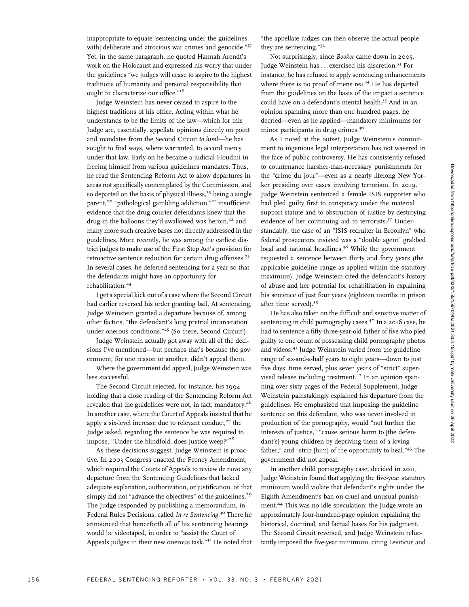inappropriate to equate [sentencing under the guidelines with] deliberate and atrocious war crimes and genocide."<sup>17</sup> Yet, in the same paragraph, he quoted Hannah Arendt's work on the Holocaust and expressed his worry that under the guidelines "we judges will cease to aspire to the highest traditions of humanity and personal responsibility that ought to characterize our office."<sup>18</sup>

Judge Weinstein has never ceased to aspire to the highest traditions of his office. Acting within what he understands to be the limits of the law—which for this Judge are, essentially, appellate opinions directly on point and mandates from the Second Circuit to him!—he has sought to find ways, where warranted, to accord mercy under that law. Early on he became a judicial Houdini in freeing himself from various guidelines mandates. Thus, he read the Sentencing Reform Act to allow departures in areas not specifically contemplated by the Commission, and so departed on the basis of physical illness,<sup>19</sup> being a single parent,<sup>20</sup> "pathological gambling addiction,"<sup>21</sup> insufficient evidence that the drug courier defendants knew that the drug in the balloons they'd swallowed was heroin,<sup>22</sup> and many more such creative bases not directly addressed in the guidelines. More recently, he was among the earliest district judges to make use of the First Step Act's provision for retroactive sentence reduction for certain drug offenses.<sup>23</sup> In several cases, he deferred sentencing for a year so that the defendants might have an opportunity for rehabilitation.<sup>24</sup>

I get a special kick out of a case where the Second Circuit had earlier reversed his order granting bail. At sentencing, Judge Weinstein granted a departure because of, among other factors, "the defendant's long pretrial incarceration under onerous conditions."<sup>25</sup> (So there, Second Circuit!)

Judge Weinstein actually got away with all of the decisions I've mentioned—but perhaps that's because the government, for one reason or another, didn't appeal them.

Where the government did appeal, Judge Weinstein was less successful.

The Second Circuit rejected, for instance, his 1994 holding that a close reading of the Sentencing Reform Act revealed that the guidelines were not, in fact, mandatory.<sup>26</sup> In another case, where the Court of Appeals insisted that he apply a six-level increase due to relevant conduct, $27$  the Judge asked, regarding the sentence he was required to impose, "Under the blindfold, does justice weep?" $28$ 

As these decisions suggest, Judge Weinstein is proactive. In 2003 Congress enacted the Feeney Amendment, which required the Courts of Appeals to review de novo any departure from the Sentencing Guidelines that lacked adequate explanation, authorization, or justification, or that simply did not "advance the objectives" of the guidelines.<sup>29</sup> The Judge responded by publishing a memorandum, in Federal Rules Decisions, called In re Sentencing.<sup>30</sup> There he announced that henceforth all of his sentencing hearings would be videotaped, in order to "assist the Court of Appeals judges in their new onerous task."<sup>31</sup> He noted that "the appellate judges can then observe the actual people they are sentencing."<sup>32</sup>

Not surprisingly, since Booker came down in 2005, Judge Weinstein has ... exercised his discretion.<sup>33</sup> For instance, he has refused to apply sentencing enhancements where there is no proof of mens rea.<sup>34</sup> He has departed from the guidelines on the basis of the impact a sentence could have on a defendant's mental health.<sup>35</sup> And in an opinion spanning more than one hundred pages, he decried—even as he applied—mandatory minimums for minor participants in drug crimes.<sup>36</sup>

As I noted at the outset, Judge Weinstein's commitment to ingenious legal interpretation has not wavered in the face of public controversy. He has consistently refused to countenance harsher-than-necessary punishments for the "crime du jour"—even as a nearly lifelong New Yorker presiding over cases involving terrorism. In 2019, Judge Weinstein sentenced a female ISIS supporter who had pled guilty first to conspiracy under the material support statute and to obstruction of justice by destroying evidence of her continuing aid to terrorists.<sup>37</sup> Understandably, the case of an "ISIS recruiter in Brooklyn" who federal prosecutors insisted was a "double agent" grabbed local and national headlines.<sup>38</sup> While the government requested a sentence between thirty and forty years (the applicable guideline range as applied within the statutory maximum), Judge Weinstein cited the defendant's history of abuse and her potential for rehabilitation in explaining his sentence of just four years (eighteen months in prison after time served).<sup>39</sup>

He has also taken on the difficult and sensitive matter of sentencing in child pornography cases.<sup>40</sup> In a 2016 case, he had to sentence a fifty-three-year-old father of five who pled guilty to one count of possessing child pornography photos and videos.<sup>41</sup> Judge Weinstein varied from the guideline range of six-and-a-half years to eight years—down to just five days' time served, plus seven years of "strict" supervised release including treatment.<sup>42</sup> In an opinion spanning over sixty pages of the Federal Supplement, Judge Weinstein painstakingly explained his departure from the guidelines. He emphasized that imposing the guideline sentence on this defendant, who was never involved in production of the pornography, would "not further the interests of justice," "cause serious harm to [the defendant's] young children by depriving them of a loving father," and "strip [him] of the opportunity to heal."<sup>43</sup> The government did not appeal.

In another child pornography case, decided in 2011, Judge Weinstein found that applying the five-year statutory minimum would violate that defendant's rights under the Eighth Amendment's ban on cruel and unusual punishment.<sup>44</sup> This was no idle speculation; the Judge wrote an approximately four-hundred-page opinion explaining the historical, doctrinal, and factual bases for his judgment. The Second Circuit reversed, and Judge Weinstein reluctantly imposed the five-year minimum, citing Leviticus and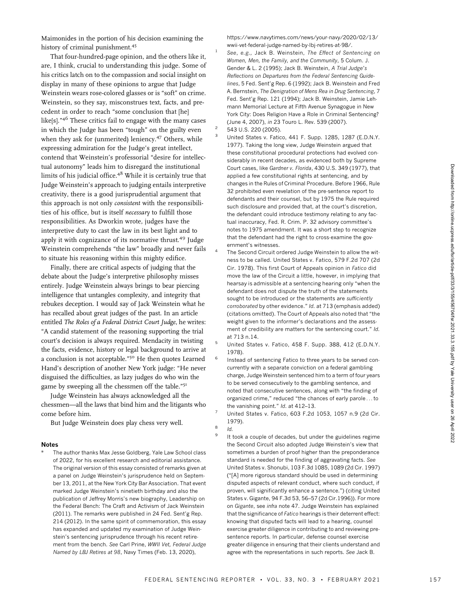are, I think, crucial to understanding this judge. Some of his critics latch on to the compassion and social insight on display in many of these opinions to argue that Judge Weinstein wears rose-colored glasses or is "soft" on crime. Weinstein, so they say, misconstrues text, facts, and precedent in order to reach "some conclusion that [he] like[s]. $n<sup>46</sup>$  These critics fail to engage with the many cases in which the Judge has been "tough" on the guilty even when they ask for (unmerited) leniency.<sup>47</sup> Others, while expressing admiration for the Judge's great intellect, contend that Weinstein's professorial "desire for intellectual autonomy" leads him to disregard the institutional limits of his judicial office. $4^8$  While it is certainly true that Judge Weinstein's approach to judging entails interpretive creativity, there is a good jurisprudential argument that this approach is not only consistent with the responsibilities of his office, but is itself necessary to fulfill those responsibilities. As Dworkin wrote, judges have the interpretive duty to cast the law in its best light and to apply it with cognizance of its normative thrust.<sup>49</sup> Judge Weinstein comprehends "the law" broadly and never fails to situate his reasoning within this mighty edifice.

Finally, there are critical aspects of judging that the debate about the Judge's interpretive philosophy misses entirely. Judge Weinstein always brings to bear piercing intelligence that untangles complexity, and integrity that rebukes deception. I would say of Jack Weinstein what he has recalled about great judges of the past. In an article entitled The Roles of a Federal District Court Judge, he writes: "A candid statement of the reasoning supporting the trial court's decision is always required. Mendacity in twisting the facts, evidence, history or legal background to arrive at a conclusion is not acceptable."<sup>50</sup> He then quotes Learned Hand's description of another New York judge: "He never disguised the difficulties, as lazy judges do who win the game by sweeping all the chessmen off the table."<sup>51</sup>

Judge Weinstein has always acknowledged all the chessmen—all the laws that bind him and the litigants who come before him.

But Judge Weinstein does play chess very well.

## Notes

The author thanks Max Jesse Goldberg, Yale Law School class of 2022, for his excellent research and editorial assistance. The original version of this essay consisted of remarks given at a panel on Judge Weinstein's jurisprudence held on September 13, 2011, at the New York City Bar Association. That event marked Judge Weinstein's ninetieth birthday and also the publication of Jeffrey Morris's new biography, Leadership on the Federal Bench: The Craft and Activism of Jack Weinstein (2011). The remarks were published in 24 Fed. Sent'g Rep. 214 (2012). In the same spirit of commemoration, this essay has expanded and updated my examination of Judge Weinstein's sentencing jurisprudence through his recent retirement from the bench. See Carl Prine, WWII Vet, Federal Judge Named by LBJ Retires at 98, Navy Times (Feb. 13, 2020),

[https://www.navytimes.com/news/your-navy/2020/02/13/](https://www.navytimes.com/news/your-navy/2020/02/13/wwii-vet-federal-judge-named-by-lbj-retires-at-98/) [wwii-vet-federal-judge-named-by-lbj-retires-at-98/](https://www.navytimes.com/news/your-navy/2020/02/13/wwii-vet-federal-judge-named-by-lbj-retires-at-98/). See, e.g., Jack B. Weinstein, The Effect of Sentencing on Women, Men, the Family, and the Community, 5 Colum. J. Gender & L. 2 (1995); Jack B. Weinstein, A Trial Judge's Reflections on Departures from the Federal Sentencing Guidelines, 5 Fed. Sent'g Rep. 6 (1992); Jack B. Weinstein and Fred A. Bernstein, The Denigration of Mens Rea in Drug Sentencing, 7 Fed. Sent'g Rep. 121 (1994); Jack B. Weinstein, Jamie Lehmann Memorial Lecture at Fifth Avenue Synagogue in New York City: Does Religion Have a Role in Criminal Sentencing? (June 4, 2007), in 23 Touro L. Rev. 539 (2007). 543 U.S. 220 (2005).

- <sup>3</sup> United States v. Fatico, 441 F. Supp. 1285, 1287 (E.D.N.Y. 1977). Taking the long view, Judge Weinstein argued that these constitutional procedural protections had evolved con-
- siderably in recent decades, as evidenced both by Supreme Court cases, like Gardner v. Florida, 430 U.S. 349 (1977), that applied a few constitutional rights at sentencing, and by changes in the Rules of Criminal Procedure. Before 1966, Rule 32 prohibited even revelation of the pre-sentence report to defendants and their counsel, but by 1975 the Rule required such disclosure and provided that, at the court's discretion, the defendant could introduce testimony relating to any factual inaccuracy, Fed. R. Crim. P. 32 advisory committee's notes to 1975 amendment. It was a short step to recognize that the defendant had the right to cross-examine the government's witnesses.
- <sup>4</sup> The Second Circuit ordered Judge Weinstein to allow the witness to be called. United States v. Fatico, 579 F.2d 707 (2d Cir. 1978). This first Court of Appeals opinion in Fatico did move the law of the Circuit a little, however, in implying that hearsay is admissible at a sentencing hearing only "when the defendant does not dispute the truth of the statements sought to be introduced or the statements are sufficiently corroborated by other evidence." Id. at 713 (emphasis added) (citations omitted). The Court of Appeals also noted that "the weight given to the informer's declarations and the assessment of credibility are matters for the sentencing court." Id. at 713 n.14.
- <sup>5</sup> United States v. Fatico, 458 F. Supp. 388, 412 (E.D.N.Y. 1978).
	- Instead of sentencing Fatico to three years to be served concurrently with a separate conviction on a federal gambling charge, Judge Weinstein sentenced him to a term of four years to be served consecutively to the gambling sentence, and noted that consecutive sentences, along with "the finding of organized crime," reduced "the chances of early parole ...to the vanishing point." Id. at 412–13.
- <sup>7</sup> United States v. Fatico, 603 F.2d 1053, 1057 n.9 (2d Cir. 1979).  $\frac{8}{9}$  *Id.*

It took a couple of decades, but under the guidelines regime the Second Circuit also adopted Judge Weinstein's view that sometimes a burden of proof higher than the preponderance standard is needed for the finding of aggravating facts. See United States v. Shonubi, 103 F.3d 1085, 1089 (2d Cir. 1997) ("[A] more rigorous standard should be used in determining disputed aspects of relevant conduct, where such conduct, if proven, will significantly enhance a sentence.") (citing United States v. Gigante, 94 F.3d 53, 56–57 (2d Cir.1996)). For more on Gigante, see infra note 47. Judge Weinstein has explained that the significance of Fatico hearings is their deterrent effect: knowing that disputed facts will lead to a hearing, counsel exercise greater diligence in contributing to and reviewing presentence reports. In particular, defense counsel exercise greater diligence in ensuring that their clients understand and agree with the representations in such reports. See Jack B.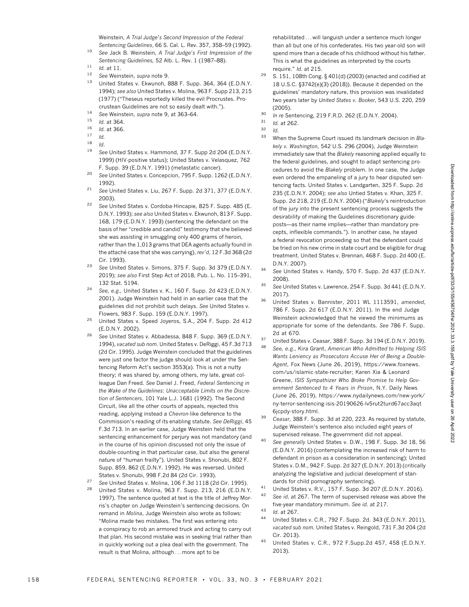Weinstein, A Trial Judge's Second Impression of the Federal Sentencing Guidelines, 66 S. Cal. L. Rev. 357, 358–59 (1992).

- <sup>10</sup> See Jack B. Weinstein, A Trial Judge's First Impression of the Sentencing Guidelines, 52 Alb. L. Rev. 1 (1987–88).
- $\frac{11}{12}$  *Id.* at 11.
- See Weinstein, supra note 9.
- <sup>13</sup> United States v. Ekwunoh, 888 F. Supp. 364, 364 (E.D.N.Y. 1994); see also United States v. Molina, 963 F. Supp 213, 215 (1977) ("Theseus reportedly killed the evil Procrustes. Procrustean Guidelines are not so easily dealt with.").
- <sup>14</sup> See Weinstein, supra note 9, at  $363-64$ .
- $\frac{15}{16}$  *Id.* at 364.
- $\frac{16}{17}$  *Id.* at 366.
- $\frac{17}{18}$  *Id.*
- $\frac{18}{19}$  *Id.*
- See United States v. Hammond, 37 F. Supp 2d 204 (E.D.N.Y. 1999) (HIV-positive status); United States v. Velasquez, 762 F. Supp. 39 (E.D.N.Y. 1991) (metastatic cancer).
- <sup>20</sup> See United States v. Concepcion, 795 F. Supp. 1262 (E.D.N.Y. 1992).
- <sup>21</sup> See United States v. Liu, 267 F. Supp. 2d 371, 377 (E.D.N.Y. 2003).
- See United States v. Cordoba-Hincapie, 825 F. Supp. 485 (E. D.N.Y. 1993); see also United States v. Ekwunoh, 813 F. Supp. 168, 179 (E.D.N.Y. 1993) (sentencing the defendant on the basis of her "credible and candid" testimony that she believed she was assisting in smuggling only 400 grams of heroin, rather than the 1,013 grams that DEA agents actually found in the attaché case that she was carrying), rev'd, 12 F.3d 368 (2d Cir. 1993).
- <sup>23</sup> See United States v. Simons, 375 F. Supp. 3d 379 (E.D.N.Y. 2019); see also First Step Act of 2018, Pub. L. No. 115–391, 132 Stat. 5194.
- See, e.g., United States v. K., 160 F. Supp. 2d 423 (E.D.N.Y. 2001). Judge Weinstein had held in an earlier case that the guidelines did not prohibit such delays. See United States v. Flowers, 983 F. Supp. 159 (E.D.N.Y. 1997).
- <sup>25</sup> United States v. Speed Joyeros, S.A., 204 F. Supp. 2d 412 (E.D.N.Y. 2002).
- See United States v. Abbadessa, 848 F. Supp. 369 (E.D.N.Y. 1994), vacated sub nom. United States v. DeRiggi, 45 F.3d 713 (2d Cir. 1995). Judge Weinstein concluded that the guidelines were just one factor the judge should look at under the Sentencing Reform Act's section 3553(a). This is not a nutty theory; it was shared by, among others, my late, great colleague Dan Freed. See Daniel J. Freed, Federal Sentencing in the Wake of the Guidelines: Unacceptable Limits on the Discretion of Sentencers, 101 Yale L.J. 1681 (1992). The Second Circuit, like all the other courts of appeals, rejected this reading, applying instead a Chevron-like deference to the Commission's reading of its enabling statute. See DeRiggi, 45 F.3d 713. In an earlier case, Judge Weinstein held that the sentencing enhancement for perjury was not mandatory (and in the course of his opinion discussed not only the issue of double-counting in that particular case, but also the general nature of "human frailty"). United States v. Shonubi, 802 F. Supp. 859, 862 (E.D.N.Y. 1992). He was reversed. United States v. Shonubi, 998 F.2d 84 (2d Cir. 1993).
- See United States v. Molina, 106 F.3d 1118 (2d Cir. 1995).
- United States v. Molina, 963 F. Supp. 213, 216 (E.D.N.Y. 1997). The sentence quoted at text is the title of Jeffrey Morris's chapter on Judge Weinstein's sentencing decisions. On remand in Molina, Judge Weinstein also wrote as follows: "Molina made two mistakes. The first was entering into a conspiracy to rob an armored truck and acting to carry out that plan. His second mistake was in seeking trial rather than in quickly working out a plea deal with the government. The result is that Molina, although ... more apt to be

rehabilitated ... will languish under a sentence much longer than all but one of his confederates. His two year-old son will spend more than a decade of his childhood without his father. This is what the guidelines as interpreted by the courts require." Id. at 215.

- 29 S. 151, 108th Cong.  $\S$  401(d) (2003) (enacted and codified at 18 U.S.C. §3742(e)(3) (2018)). Because it depended on the guidelines' mandatory nature, this provision was invalidated two years later by United States v. Booker, 543 U.S. 220, 259 (2005).
- $\frac{30}{10}$  In re Sentencing, 219 F.R.D. 262 (E.D.N.Y. 2004).
- $\frac{31}{32}$  *Id.* at 262.

- 33 When the Supreme Court issued its landmark decision in Blakely v. Washington, 542 U.S. 296 (2004), Judge Weinstein immediately saw that the Blakely reasoning applied equally to the federal guidelines, and sought to adapt sentencing procedures to avoid the Blakely problem. In one case, the Judge even ordered the empaneling of a jury to hear disputed sentencing facts. United States v. Landgarten, 325 F. Supp. 2d 235 (E.D.N.Y. 2004); see also Untied States v. Khan, 325 F. Supp. 2d 218, 219 (E.D.N.Y. 2004) ("Blakely's reintroduction of the jury into the present sentencing process suggests the desirability of making the Guidelines discretionary guideposts—as their name implies—rather than mandatory precepts, inflexible commands."). In another case, he stayed a federal revocation proceeding so that the defendant could be tried on his new crime in state court and be eligible for drug treatment. United States v. Brennan, 468 F. Supp. 2d 400 (E. D.N.Y. 2007).
- <sup>34</sup> See United States v. Handy, 570 F. Supp. 2d 437 (E.D.N.Y. 2008).
- <sup>35</sup> See United States v. Lawrence, 254 F. Supp. 3d 441 (E.D.N.Y. 2017).
- <sup>36</sup> United States v. Bannister, 2011 WL 1113591, amended, 786 F. Supp. 2d 617 (E.D.N.Y. 2011). In the end Judge Weinstein acknowledged that he viewed the minimums as appropriate for some of the defendants. See 786 F. Supp. 2d at 670.
- <sup>37</sup> United States v. Ceasar, 388 F. Supp. 3d 194 (E.D.N.Y. 2019).
- 38 See, e.g., Kira Grant, American Who Admitted to Helping ISIS Wants Leniency as Prosecutors Accuse Her of Being a Double-Agent, Fox News (June 26, 2019), [https://www.foxnews.](https://www.foxnews.com/us/islamic-state-recruiter) [com/us/islamic-state-recruiter](https://www.foxnews.com/us/islamic-state-recruiter); Karen Xia & Leonard Greene, ISIS Sympathizer Who Broke Promise to Help Government Sentenced to 4 Years in Prison, N.Y. Daily News (June 26, 2019), [https://www.nydailynews.com/new-york/](https://www.nydailynews.com/new-york/ny-terror-sentencing-isis-20190626-lv5rut2turd67acc3aqt6jcpdy-story.html) [ny-terror-sentencing-isis-20190626-lv5rut2turd67acc3aqt](https://www.nydailynews.com/new-york/ny-terror-sentencing-isis-20190626-lv5rut2turd67acc3aqt6jcpdy-story.html) [6jcpdy-story.html](https://www.nydailynews.com/new-york/ny-terror-sentencing-isis-20190626-lv5rut2turd67acc3aqt6jcpdy-story.html).
- <sup>39</sup> Ceasar, 388 F. Supp. 3d at 220, 223. As required by statute, Judge Weinstein's sentence also included eight years of supervised release. The government did not appeal.
- <sup>40</sup> See generally United States v. D.W., 198 F. Supp. 3d 18, 56 (E.D.N.Y. 2016) (contemplating the increased risk of harm to defendant in prison as a consideration in sentencing); United States v. D.M., 942 F. Supp. 2d 327 (E.D.N.Y. 2013) (critically analyzing the legislative and judicial development of standards for child pornography sentencing).
- 41 United States v. R.V., 157 F. Supp. 3d 207 (E.D.N.Y. 2016).
- See id. at 267. The term of supervised release was above the five-year mandatory minimum. See id. at 217.
- $\frac{43}{44}$  *Id.* at 267.
- <sup>44</sup> United States v. C.R., 792 F. Supp. 2d. 343 (E.D.N.Y. 2011), vacated sub nom. United States v. Reingold, 731 F.3d 204 (2d Cir. 2013).
- <sup>45</sup> United States v. C.R., 972 F.Supp.2d 457, 458 (E.D.N.Y. 2013).

 $\overline{d}$